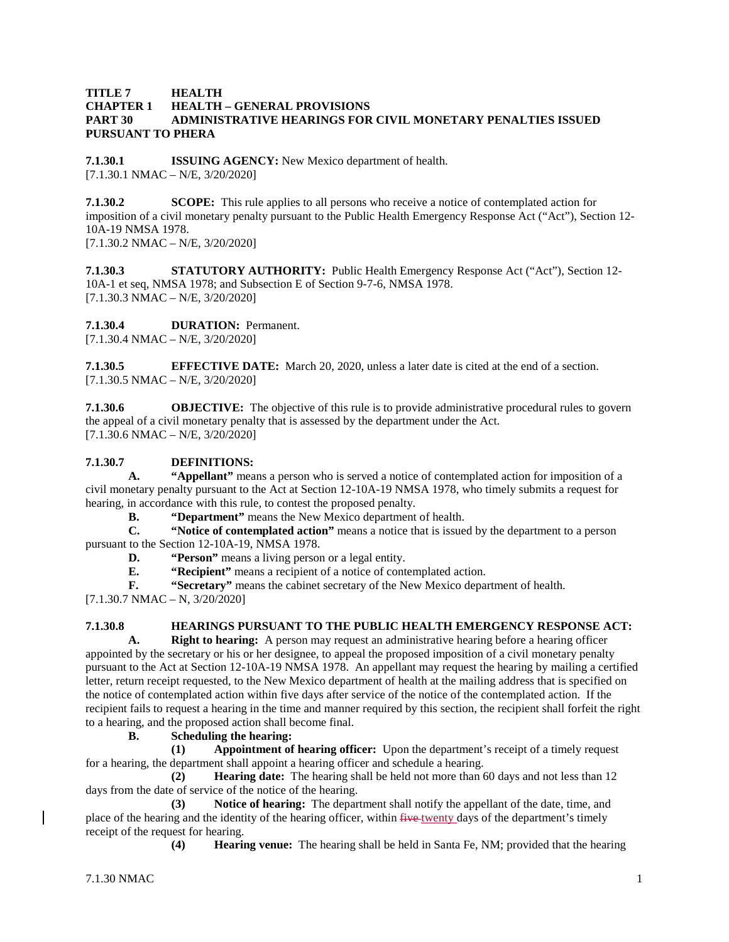#### **TITLE 7 HEALTH CHAPTER 1 HEALTH – GENERAL PROVISIONS PART 30 ADMINISTRATIVE HEARINGS FOR CIVIL MONETARY PENALTIES ISSUED PURSUANT TO PHERA**

**7.1.30.1 ISSUING AGENCY:** New Mexico department of health.  $[7.1.30.1 \text{ NMAC} - \text{N/E}, \frac{3}{20/2020}]$ 

**7.1.30.2 SCOPE:** This rule applies to all persons who receive a notice of contemplated action for imposition of a civil monetary penalty pursuant to the Public Health Emergency Response Act ("Act"), Section 12- 10A-19 NMSA 1978.

[7.1.30.2 NMAC – N/E, 3/20/2020]

**7.1.30.3 STATUTORY AUTHORITY:** Public Health Emergency Response Act ("Act"), Section 12- 10A-1 et seq, NMSA 1978; and Subsection E of Section 9-7-6, NMSA 1978. [7.1.30.3 NMAC – N/E, 3/20/2020]

**7.1.30.4 DURATION:** Permanent.

[7.1.30.4 NMAC – N/E, 3/20/2020]

**7.1.30.5 EFFECTIVE DATE:** March 20, 2020, unless a later date is cited at the end of a section. [7.1.30.5 NMAC – N/E, 3/20/2020]

**7.1.30.6 OBJECTIVE:** The objective of this rule is to provide administrative procedural rules to govern the appeal of a civil monetary penalty that is assessed by the department under the Act.  $[7.1.30.6 \text{ NMAC} - \text{N/E}, \frac{3}{20/2020}]$ 

## **7.1.30.7 DEFINITIONS:**

**A. "Appellant"** means a person who is served a notice of contemplated action for imposition of a civil monetary penalty pursuant to the Act at Section 12-10A-19 NMSA 1978, who timely submits a request for hearing, in accordance with this rule, to contest the proposed penalty.

**B. "Department"** means the New Mexico department of health.

**C. "Notice of contemplated action"** means a notice that is issued by the department to a person pursuant to the Section 12-10A-19, NMSA 1978.

**D. "Person"** means a living person or a legal entity.<br>**E. "Recipient"** means a recipient of a notice of cont

**E. "Recipient"** means a recipient of a notice of contemplated action.

**F. "Secretary"** means the cabinet secretary of the New Mexico department of health.

 $[7.1.30.7 \text{ NMAC} - \text{N}, 3/20/2020]$ 

# **7.1.30.8 HEARINGS PURSUANT TO THE PUBLIC HEALTH EMERGENCY RESPONSE ACT:**

**A. Right to hearing:** A person may request an administrative hearing before a hearing officer appointed by the secretary or his or her designee, to appeal the proposed imposition of a civil monetary penalty pursuant to the Act at Section 12-10A-19 NMSA 1978. An appellant may request the hearing by mailing a certified letter, return receipt requested, to the New Mexico department of health at the mailing address that is specified on the notice of contemplated action within five days after service of the notice of the contemplated action. If the recipient fails to request a hearing in the time and manner required by this section, the recipient shall forfeit the right to a hearing, and the proposed action shall become final.

### **B. Scheduling the hearing:**

**(1) Appointment of hearing officer:** Upon the department's receipt of a timely request for a hearing, the department shall appoint a hearing officer and schedule a hearing.

**(2) Hearing date:** The hearing shall be held not more than 60 days and not less than 12 days from the date of service of the notice of the hearing.

**(3) Notice of hearing:** The department shall notify the appellant of the date, time, and place of the hearing and the identity of the hearing officer, within  $f{i}$  twe twenty days of the department's timely receipt of the request for hearing.

**(4) Hearing venue:** The hearing shall be held in Santa Fe, NM; provided that the hearing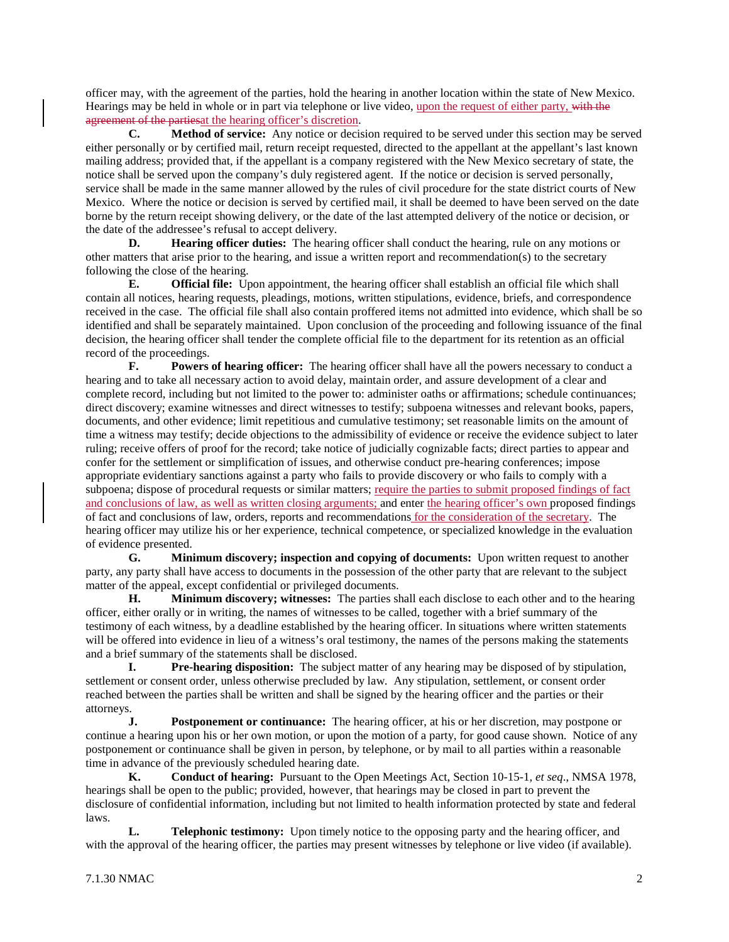officer may, with the agreement of the parties, hold the hearing in another location within the state of New Mexico. Hearings may be held in whole or in part via telephone or live video, upon the request of either party, with the agreement of the partiesat the hearing officer's discretion.

**C. Method of service:** Any notice or decision required to be served under this section may be served either personally or by certified mail, return receipt requested, directed to the appellant at the appellant's last known mailing address; provided that, if the appellant is a company registered with the New Mexico secretary of state, the notice shall be served upon the company's duly registered agent. If the notice or decision is served personally, service shall be made in the same manner allowed by the rules of civil procedure for the state district courts of New Mexico. Where the notice or decision is served by certified mail, it shall be deemed to have been served on the date borne by the return receipt showing delivery, or the date of the last attempted delivery of the notice or decision, or the date of the addressee's refusal to accept delivery.

**D. Hearing officer duties:** The hearing officer shall conduct the hearing, rule on any motions or other matters that arise prior to the hearing, and issue a written report and recommendation(s) to the secretary following the close of the hearing.

**E. Official file:** Upon appointment, the hearing officer shall establish an official file which shall contain all notices, hearing requests, pleadings, motions, written stipulations, evidence, briefs, and correspondence received in the case. The official file shall also contain proffered items not admitted into evidence, which shall be so identified and shall be separately maintained. Upon conclusion of the proceeding and following issuance of the final decision, the hearing officer shall tender the complete official file to the department for its retention as an official record of the proceedings.

**F. Powers of hearing officer:** The hearing officer shall have all the powers necessary to conduct a hearing and to take all necessary action to avoid delay, maintain order, and assure development of a clear and complete record, including but not limited to the power to: administer oaths or affirmations; schedule continuances; direct discovery; examine witnesses and direct witnesses to testify; subpoena witnesses and relevant books, papers, documents, and other evidence; limit repetitious and cumulative testimony; set reasonable limits on the amount of time a witness may testify; decide objections to the admissibility of evidence or receive the evidence subject to later ruling; receive offers of proof for the record; take notice of judicially cognizable facts; direct parties to appear and confer for the settlement or simplification of issues, and otherwise conduct pre-hearing conferences; impose appropriate evidentiary sanctions against a party who fails to provide discovery or who fails to comply with a subpoena; dispose of procedural requests or similar matters; require the parties to submit proposed findings of fact and conclusions of law, as well as written closing arguments; and enter the hearing officer's own proposed findings of fact and conclusions of law, orders, reports and recommendations for the consideration of the secretary. The hearing officer may utilize his or her experience, technical competence, or specialized knowledge in the evaluation of evidence presented.<br> **G.** Mini

**Minimum discovery; inspection and copying of documents:** Upon written request to another party, any party shall have access to documents in the possession of the other party that are relevant to the subject matter of the appeal, except confidential or privileged documents.

**H. Minimum discovery; witnesses:** The parties shall each disclose to each other and to the hearing officer, either orally or in writing, the names of witnesses to be called, together with a brief summary of the testimony of each witness, by a deadline established by the hearing officer. In situations where written statements will be offered into evidence in lieu of a witness's oral testimony, the names of the persons making the statements and a brief summary of the statements shall be disclosed.

**I. Pre-hearing disposition:** The subject matter of any hearing may be disposed of by stipulation, settlement or consent order, unless otherwise precluded by law. Any stipulation, settlement, or consent order reached between the parties shall be written and shall be signed by the hearing officer and the parties or their attorneys.

**J. Postponement or continuance:** The hearing officer, at his or her discretion, may postpone or continue a hearing upon his or her own motion, or upon the motion of a party, for good cause shown. Notice of any postponement or continuance shall be given in person, by telephone, or by mail to all parties within a reasonable time in advance of the previously scheduled hearing date.

**K. Conduct of hearing:** Pursuant to the Open Meetings Act, Section 10-15-1, *et seq*., NMSA 1978, hearings shall be open to the public; provided, however, that hearings may be closed in part to prevent the disclosure of confidential information, including but not limited to health information protected by state and federal laws.

**L. Telephonic testimony:** Upon timely notice to the opposing party and the hearing officer, and with the approval of the hearing officer, the parties may present witnesses by telephone or live video (if available).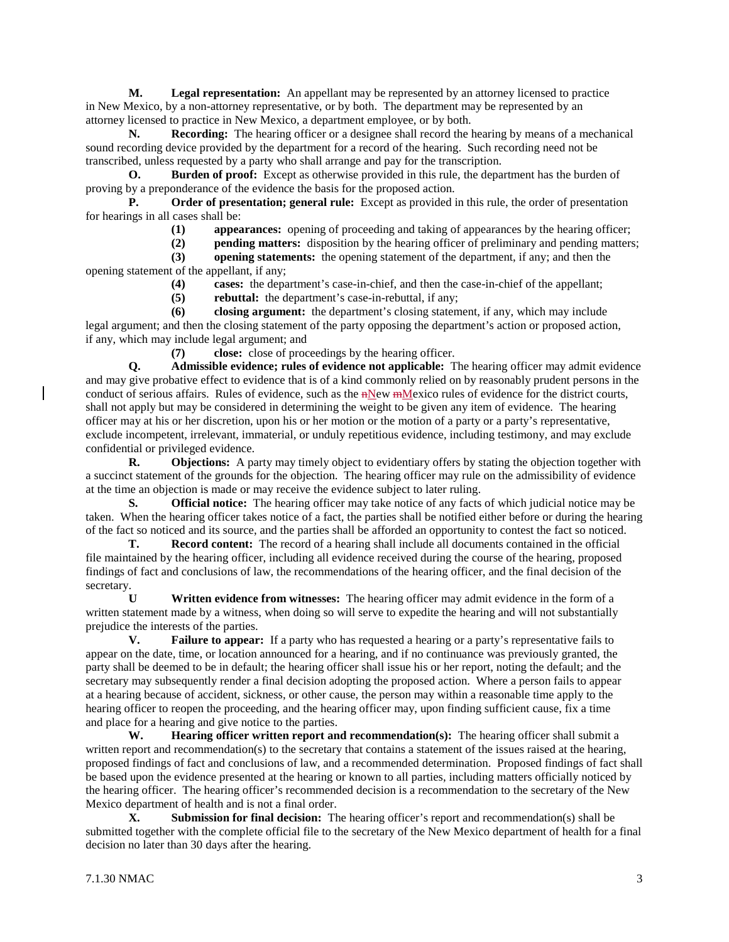**M. Legal representation:** An appellant may be represented by an attorney licensed to practice in New Mexico, by a non-attorney representative, or by both. The department may be represented by an attorney licensed to practice in New Mexico, a department employee, or by both.

**N. Recording:** The hearing officer or a designee shall record the hearing by means of a mechanical sound recording device provided by the department for a record of the hearing. Such recording need not be transcribed, unless requested by a party who shall arrange and pay for the transcription.

**O. Burden of proof:** Except as otherwise provided in this rule, the department has the burden of proving by a preponderance of the evidence the basis for the proposed action.

**P. Order of presentation; general rule:** Except as provided in this rule, the order of presentation for hearings in all cases shall be:

- **(1) appearances:** opening of proceeding and taking of appearances by the hearing officer;
- **(2) pending matters:** disposition by the hearing officer of preliminary and pending matters;

**(3) opening statements:** the opening statement of the department, if any; and then the opening statement of the appellant, if any;

- **(4) cases:** the department's case-in-chief, and then the case-in-chief of the appellant;
- **(5) rebuttal:** the department's case-in-rebuttal, if any;

**(6) closing argument:** the department's closing statement, if any, which may include legal argument; and then the closing statement of the party opposing the department's action or proposed action, if any, which may include legal argument; and

**(7) close:** close of proceedings by the hearing officer.

**Q. Admissible evidence; rules of evidence not applicable:** The hearing officer may admit evidence and may give probative effect to evidence that is of a kind commonly relied on by reasonably prudent persons in the conduct of serious affairs. Rules of evidence, such as the nNew mMexico rules of evidence for the district courts, shall not apply but may be considered in determining the weight to be given any item of evidence. The hearing officer may at his or her discretion, upon his or her motion or the motion of a party or a party's representative, exclude incompetent, irrelevant, immaterial, or unduly repetitious evidence, including testimony, and may exclude confidential or privileged evidence.

**R. Objections:** A party may timely object to evidentiary offers by stating the objection together with a succinct statement of the grounds for the objection. The hearing officer may rule on the admissibility of evidence at the time an objection is made or may receive the evidence subject to later ruling.

**S. Official notice:** The hearing officer may take notice of any facts of which judicial notice may be taken. When the hearing officer takes notice of a fact, the parties shall be notified either before or during the hearing of the fact so noticed and its source, and the parties shall be afforded an opportunity to contest the fact so noticed.

**T. Record content:** The record of a hearing shall include all documents contained in the official file maintained by the hearing officer, including all evidence received during the course of the hearing, proposed findings of fact and conclusions of law, the recommendations of the hearing officer, and the final decision of the secretary.

**U Written evidence from witnesses:** The hearing officer may admit evidence in the form of a written statement made by a witness, when doing so will serve to expedite the hearing and will not substantially prejudice the interests of the parties.

**V. Failure to appear:** If a party who has requested a hearing or a party's representative fails to appear on the date, time, or location announced for a hearing, and if no continuance was previously granted, the party shall be deemed to be in default; the hearing officer shall issue his or her report, noting the default; and the secretary may subsequently render a final decision adopting the proposed action. Where a person fails to appear at a hearing because of accident, sickness, or other cause, the person may within a reasonable time apply to the hearing officer to reopen the proceeding, and the hearing officer may, upon finding sufficient cause, fix a time and place for a hearing and give notice to the parties.

**W. Hearing officer written report and recommendation(s):** The hearing officer shall submit a written report and recommendation(s) to the secretary that contains a statement of the issues raised at the hearing, proposed findings of fact and conclusions of law, and a recommended determination. Proposed findings of fact shall be based upon the evidence presented at the hearing or known to all parties, including matters officially noticed by the hearing officer. The hearing officer's recommended decision is a recommendation to the secretary of the New Mexico department of health and is not a final order.

**X. Submission for final decision:** The hearing officer's report and recommendation(s) shall be submitted together with the complete official file to the secretary of the New Mexico department of health for a final decision no later than 30 days after the hearing.